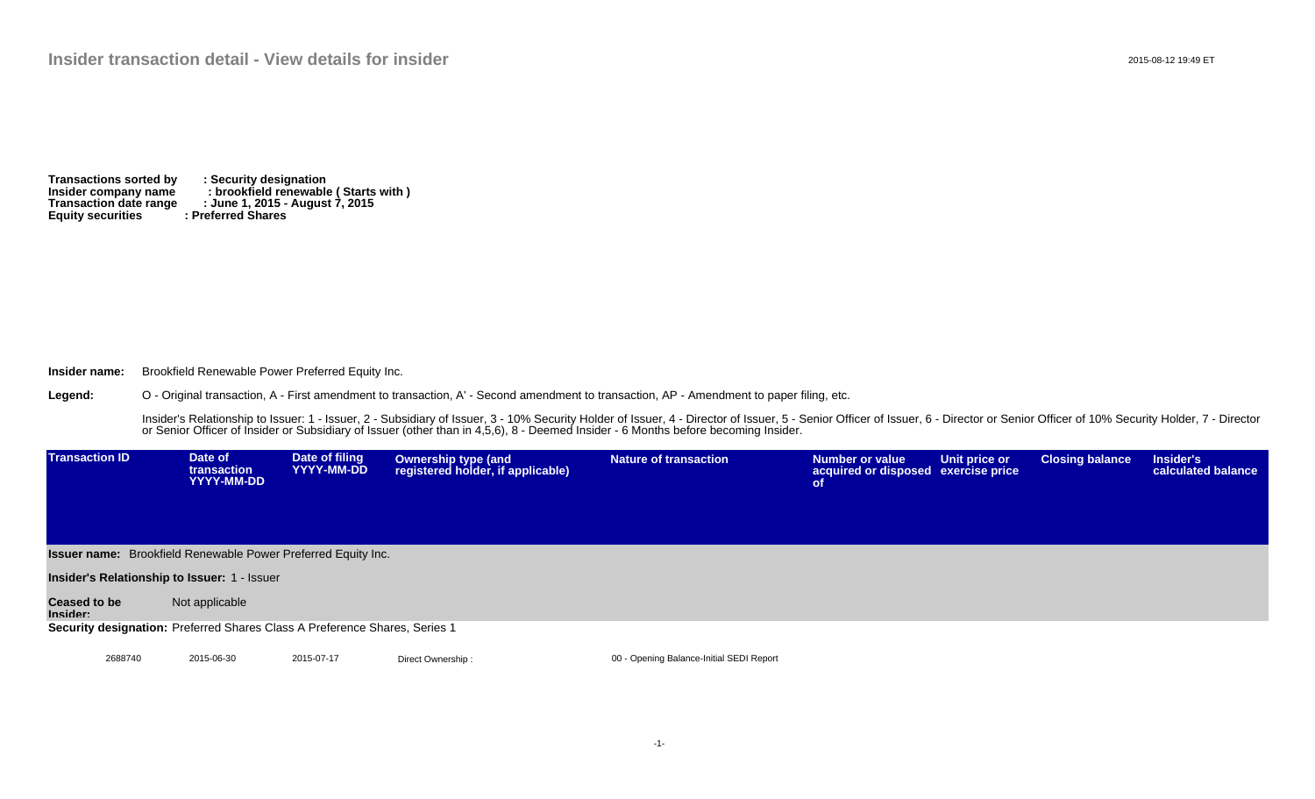**Transactions sorted by : Security designation Insider company name : brookfield renewable ( Starts with ) Transaction date range : June 1, 2015 - August 7, 2015 Equity securities : Preferred Shares**

**Insider name:** Brookfield Renewable Power Preferred Equity Inc.

**Legend:** O - Original transaction, A - First amendment to transaction, A' - Second amendment to transaction, AP - Amendment to paper filing, etc.

> Insider's Relationship to Issuer: 1 - Issuer, 2 - Subsidiary of Issuer, 3 - 10% Security Holder of Issuer, 4 - Director of Issuer, 5 - Senior Officer of Issuer, 6 - Director or Senior Officer of 10% Security Holder, 7 - Di or Senior Officer of Insider or Subsidiary of Issuer (other than in 4,5,6), 8 - Deemed Insider - 6 Months before becoming Insider.

| <b>Transaction ID</b>                               | Date of<br><b>transaction</b><br>YYYY-MM-DD                                | Date of filing<br>YYYY-MM-DD | <b>Ownership type (and</b><br>registered holder, if applicable) | <b>Nature of transaction</b>             | Number or value<br>acquired or disposed exercise price<br><b>of</b> | Unit price or | <b>Closing balance</b> | Insider's<br>calculated balance |  |  |
|-----------------------------------------------------|----------------------------------------------------------------------------|------------------------------|-----------------------------------------------------------------|------------------------------------------|---------------------------------------------------------------------|---------------|------------------------|---------------------------------|--|--|
|                                                     | <b>Issuer name:</b> Brookfield Renewable Power Preferred Equity Inc.       |                              |                                                                 |                                          |                                                                     |               |                        |                                 |  |  |
| <b>Insider's Relationship to Issuer: 1 - Issuer</b> |                                                                            |                              |                                                                 |                                          |                                                                     |               |                        |                                 |  |  |
| <b>Ceased to be</b><br>Insider:                     | Not applicable                                                             |                              |                                                                 |                                          |                                                                     |               |                        |                                 |  |  |
|                                                     | Security designation: Preferred Shares Class A Preference Shares, Series 1 |                              |                                                                 |                                          |                                                                     |               |                        |                                 |  |  |
|                                                     |                                                                            |                              |                                                                 |                                          |                                                                     |               |                        |                                 |  |  |
| 2688740                                             | 2015-06-30                                                                 | 2015-07-17                   | Direct Ownership:                                               | 00 - Opening Balance-Initial SEDI Report |                                                                     |               |                        |                                 |  |  |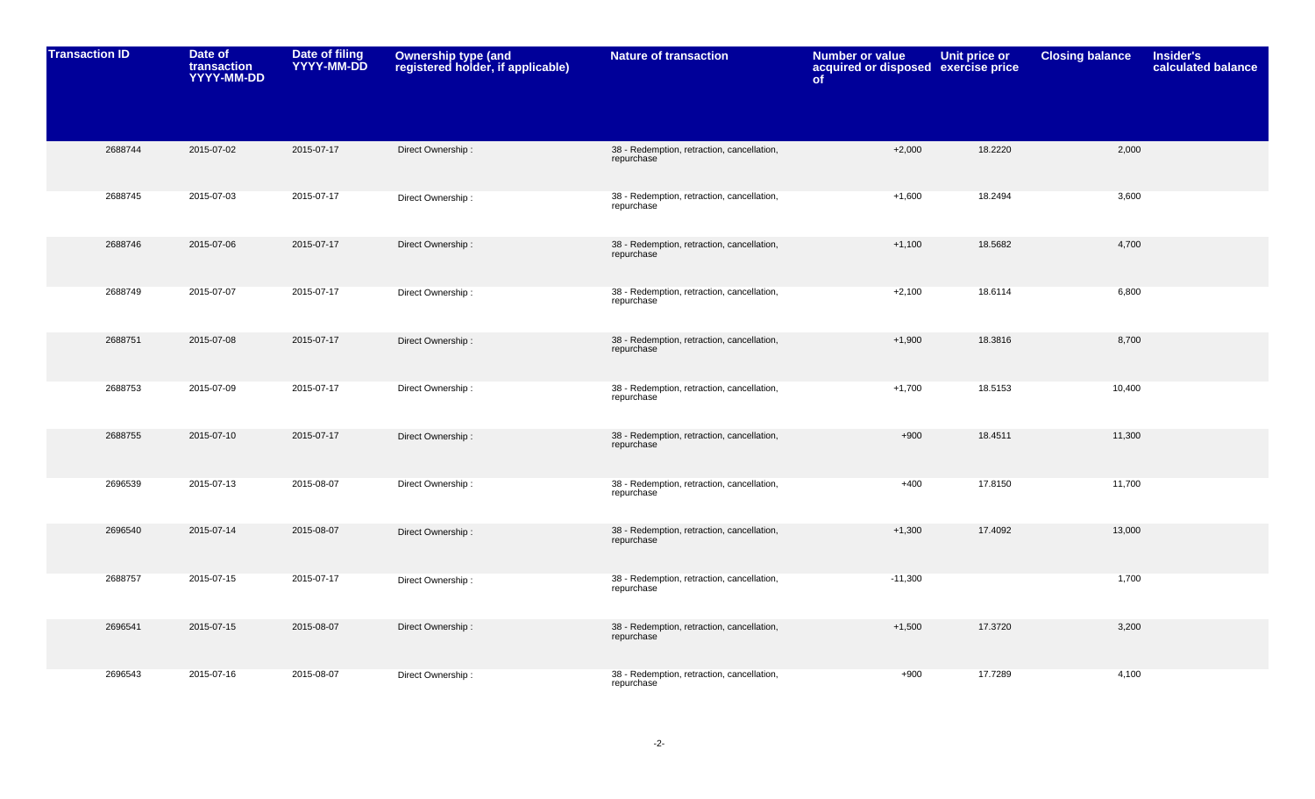| <b>Transaction ID</b> | Date of<br>transaction<br>YYYY-MM-DD | Date of filing<br>YYYY-MM-DD | Ownership type (and<br>registered holder, if applicable) | <b>Nature of transaction</b>                             | <b>Number or value</b><br>acquired or disposed exercise price<br>of | Unit price or | <b>Closing balance</b> | <b>Insider's</b><br>calculated balance |
|-----------------------|--------------------------------------|------------------------------|----------------------------------------------------------|----------------------------------------------------------|---------------------------------------------------------------------|---------------|------------------------|----------------------------------------|
|                       |                                      |                              |                                                          |                                                          |                                                                     |               |                        |                                        |
| 2688744               | 2015-07-02                           | 2015-07-17                   | Direct Ownership:                                        | 38 - Redemption, retraction, cancellation,<br>repurchase | $+2,000$                                                            | 18.2220       | 2,000                  |                                        |
| 2688745               | 2015-07-03                           | 2015-07-17                   | Direct Ownership:                                        | 38 - Redemption, retraction, cancellation,<br>repurchase | $+1,600$                                                            | 18.2494       | 3,600                  |                                        |
| 2688746               | 2015-07-06                           | 2015-07-17                   | Direct Ownership:                                        | 38 - Redemption, retraction, cancellation,<br>repurchase | $+1,100$                                                            | 18.5682       | 4,700                  |                                        |
| 2688749               | 2015-07-07                           | 2015-07-17                   | Direct Ownership:                                        | 38 - Redemption, retraction, cancellation,<br>repurchase | $+2,100$                                                            | 18.6114       | 6,800                  |                                        |
| 2688751               | 2015-07-08                           | 2015-07-17                   | Direct Ownership:                                        | 38 - Redemption, retraction, cancellation,<br>repurchase | $+1,900$                                                            | 18.3816       | 8,700                  |                                        |
| 2688753               | 2015-07-09                           | 2015-07-17                   | Direct Ownership:                                        | 38 - Redemption, retraction, cancellation,<br>repurchase | $+1,700$                                                            | 18.5153       | 10,400                 |                                        |
| 2688755               | 2015-07-10                           | 2015-07-17                   | Direct Ownership:                                        | 38 - Redemption, retraction, cancellation,<br>repurchase | $+900$                                                              | 18.4511       | 11,300                 |                                        |
| 2696539               | 2015-07-13                           | 2015-08-07                   | Direct Ownership:                                        | 38 - Redemption, retraction, cancellation,<br>repurchase | $+400$                                                              | 17.8150       | 11,700                 |                                        |
| 2696540               | 2015-07-14                           | 2015-08-07                   | Direct Ownership:                                        | 38 - Redemption, retraction, cancellation,<br>repurchase | $+1,300$                                                            | 17.4092       | 13,000                 |                                        |
| 2688757               | 2015-07-15                           | 2015-07-17                   | Direct Ownership:                                        | 38 - Redemption, retraction, cancellation,<br>repurchase | $-11,300$                                                           |               | 1,700                  |                                        |
| 2696541               | 2015-07-15                           | 2015-08-07                   | Direct Ownership:                                        | 38 - Redemption, retraction, cancellation,<br>repurchase | $+1,500$                                                            | 17.3720       | 3,200                  |                                        |
| 2696543               | 2015-07-16                           | 2015-08-07                   | Direct Ownership:                                        | 38 - Redemption, retraction, cancellation,<br>repurchase | $+900$                                                              | 17.7289       | 4,100                  |                                        |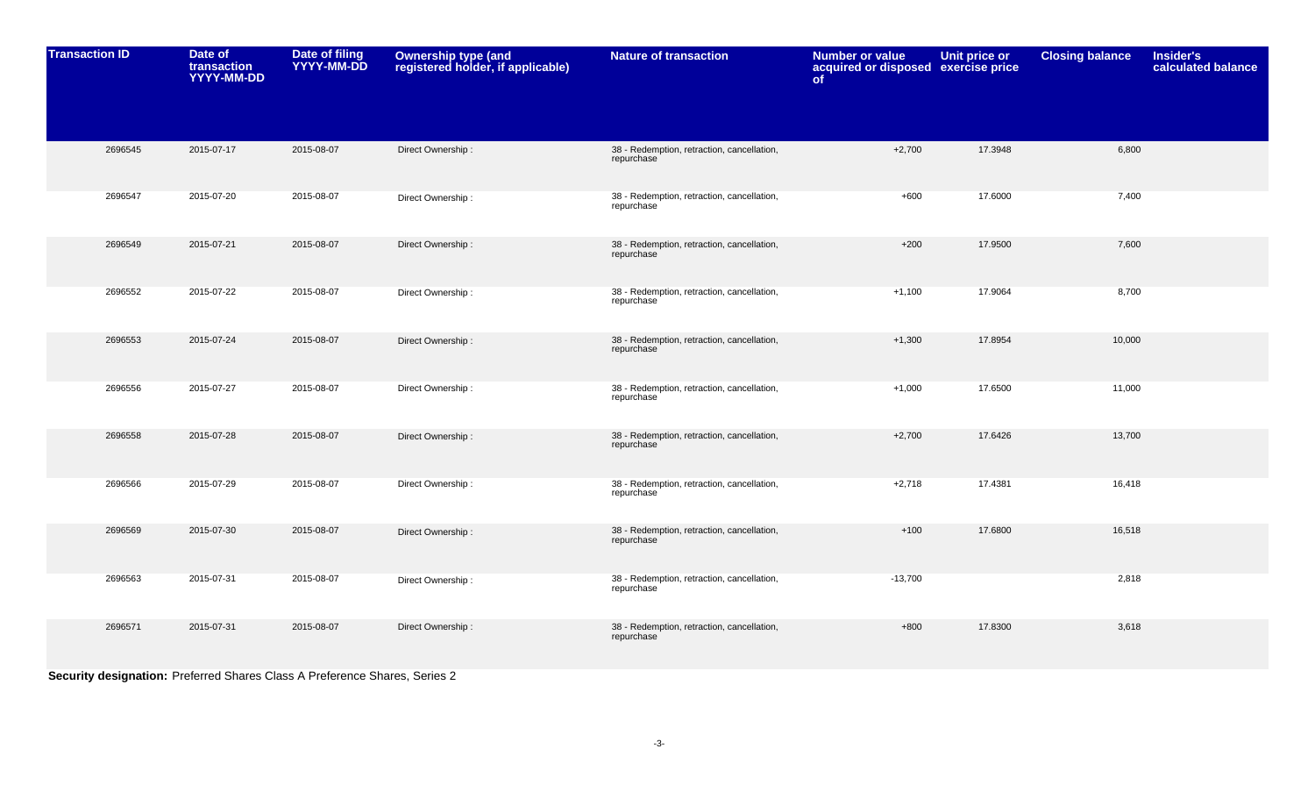| <b>Transaction ID</b> | Date of<br>transaction<br>YYYY-MM-DD | <b>Date of filing</b><br>YYYY-MM-DD | Ownership type (and<br>registered holder, if applicable) | <b>Nature of transaction</b>                             | <b>Number or value</b><br>acquired or disposed exercise price<br>of | <b>Unit price or</b> | <b>Closing balance</b> | <b>Insider's</b><br>calculated balance |
|-----------------------|--------------------------------------|-------------------------------------|----------------------------------------------------------|----------------------------------------------------------|---------------------------------------------------------------------|----------------------|------------------------|----------------------------------------|
|                       |                                      |                                     |                                                          |                                                          |                                                                     |                      |                        |                                        |
| 2696545               | 2015-07-17                           | 2015-08-07                          | Direct Ownership:                                        | 38 - Redemption, retraction, cancellation,<br>repurchase | $+2,700$                                                            | 17.3948              | 6,800                  |                                        |
| 2696547               | 2015-07-20                           | 2015-08-07                          | Direct Ownership:                                        | 38 - Redemption, retraction, cancellation,<br>repurchase | $+600$                                                              | 17.6000              | 7,400                  |                                        |
| 2696549               | 2015-07-21                           | 2015-08-07                          | Direct Ownership:                                        | 38 - Redemption, retraction, cancellation,<br>repurchase | $+200$                                                              | 17.9500              | 7,600                  |                                        |
| 2696552               | 2015-07-22                           | 2015-08-07                          | Direct Ownership:                                        | 38 - Redemption, retraction, cancellation,<br>repurchase | $+1,100$                                                            | 17.9064              | 8,700                  |                                        |
| 2696553               | 2015-07-24                           | 2015-08-07                          | Direct Ownership:                                        | 38 - Redemption, retraction, cancellation,<br>repurchase | $+1,300$                                                            | 17.8954              | 10,000                 |                                        |
| 2696556               | 2015-07-27                           | 2015-08-07                          | Direct Ownership:                                        | 38 - Redemption, retraction, cancellation,<br>repurchase | $+1,000$                                                            | 17.6500              | 11,000                 |                                        |
| 2696558               | 2015-07-28                           | 2015-08-07                          | Direct Ownership:                                        | 38 - Redemption, retraction, cancellation,<br>repurchase | $+2,700$                                                            | 17.6426              | 13,700                 |                                        |
| 2696566               | 2015-07-29                           | 2015-08-07                          | Direct Ownership:                                        | 38 - Redemption, retraction, cancellation,<br>repurchase | $+2,718$                                                            | 17.4381              | 16,418                 |                                        |
| 2696569               | 2015-07-30                           | 2015-08-07                          | Direct Ownership:                                        | 38 - Redemption, retraction, cancellation,<br>repurchase | $+100$                                                              | 17.6800              | 16,518                 |                                        |
| 2696563               | 2015-07-31                           | 2015-08-07                          | Direct Ownership:                                        | 38 - Redemption, retraction, cancellation,<br>repurchase | $-13,700$                                                           |                      | 2,818                  |                                        |
| 2696571               | 2015-07-31                           | 2015-08-07                          | Direct Ownership:                                        | 38 - Redemption, retraction, cancellation,<br>repurchase | $+800$                                                              | 17.8300              | 3,618                  |                                        |

**Security designation:** Preferred Shares Class A Preference Shares, Series 2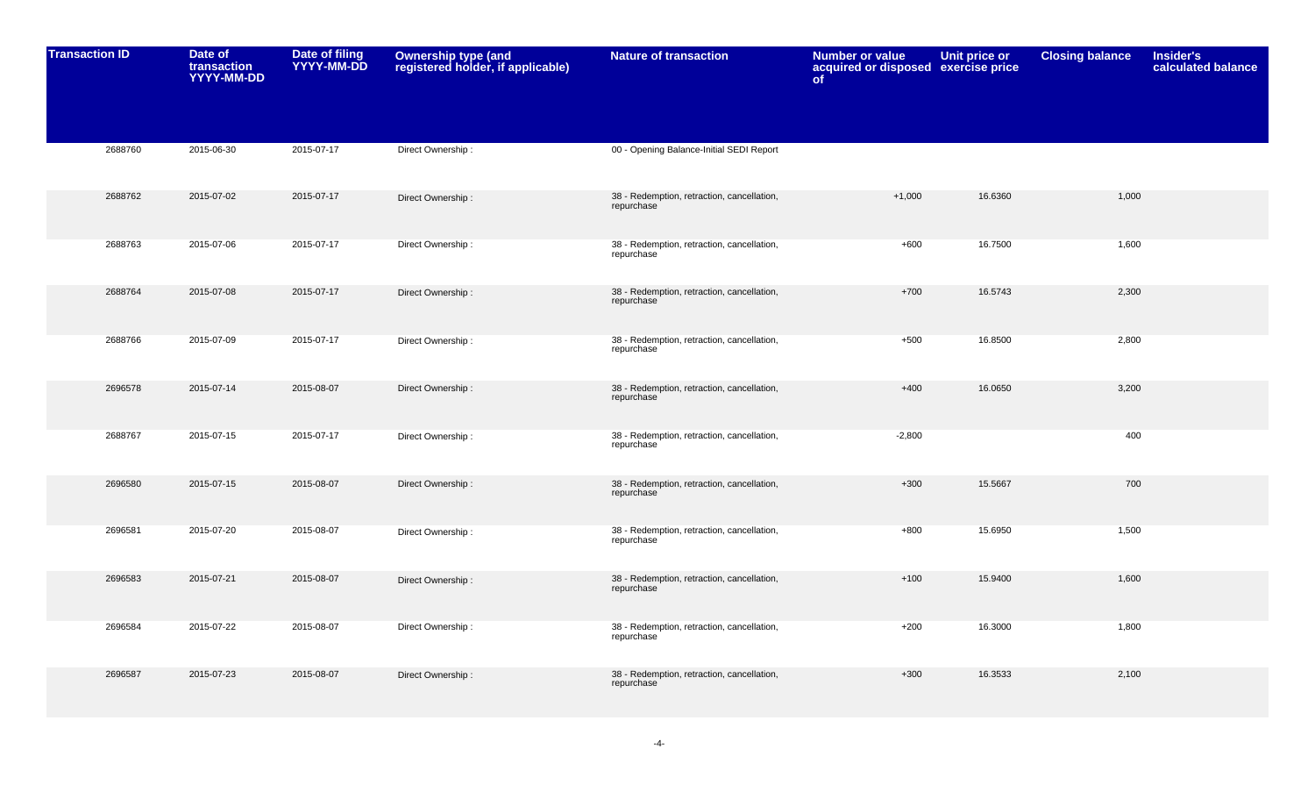| <b>Transaction ID</b> | Date of<br>transaction<br>YYYY-MM-DD | Date of filing<br>YYYY-MM-DD | Ownership type (and<br>registered holder, if applicable) | <b>Nature of transaction</b>                             | <b>Number or value</b><br>acquired or disposed exercise price<br>of | <b>Unit price or</b> | <b>Closing balance</b> | Insider's<br>calculated balance |
|-----------------------|--------------------------------------|------------------------------|----------------------------------------------------------|----------------------------------------------------------|---------------------------------------------------------------------|----------------------|------------------------|---------------------------------|
|                       |                                      |                              |                                                          |                                                          |                                                                     |                      |                        |                                 |
| 2688760               | 2015-06-30                           | 2015-07-17                   | Direct Ownership:                                        | 00 - Opening Balance-Initial SEDI Report                 |                                                                     |                      |                        |                                 |
| 2688762               | 2015-07-02                           | 2015-07-17                   | Direct Ownership:                                        | 38 - Redemption, retraction, cancellation,<br>repurchase | $+1,000$                                                            | 16.6360              | 1,000                  |                                 |
| 2688763               | 2015-07-06                           | 2015-07-17                   | Direct Ownership:                                        | 38 - Redemption, retraction, cancellation,<br>repurchase | $+600$                                                              | 16.7500              | 1,600                  |                                 |
| 2688764               | 2015-07-08                           | 2015-07-17                   | Direct Ownership:                                        | 38 - Redemption, retraction, cancellation,<br>repurchase | $+700$                                                              | 16.5743              | 2,300                  |                                 |
| 2688766               | 2015-07-09                           | 2015-07-17                   | Direct Ownership:                                        | 38 - Redemption, retraction, cancellation,<br>repurchase | $+500$                                                              | 16.8500              | 2,800                  |                                 |
| 2696578               | 2015-07-14                           | 2015-08-07                   | Direct Ownership:                                        | 38 - Redemption, retraction, cancellation,<br>repurchase | $+400$                                                              | 16.0650              | 3,200                  |                                 |
| 2688767               | 2015-07-15                           | 2015-07-17                   | Direct Ownership:                                        | 38 - Redemption, retraction, cancellation,<br>repurchase | $-2,800$                                                            |                      | 400                    |                                 |
| 2696580               | 2015-07-15                           | 2015-08-07                   | Direct Ownership:                                        | 38 - Redemption, retraction, cancellation,<br>repurchase | $+300$                                                              | 15.5667              | 700                    |                                 |
| 2696581               | 2015-07-20                           | 2015-08-07                   | Direct Ownership:                                        | 38 - Redemption, retraction, cancellation,<br>repurchase | $+800$                                                              | 15.6950              | 1,500                  |                                 |
| 2696583               | 2015-07-21                           | 2015-08-07                   | Direct Ownership:                                        | 38 - Redemption, retraction, cancellation,<br>repurchase | $+100$                                                              | 15.9400              | 1,600                  |                                 |
| 2696584               | 2015-07-22                           | 2015-08-07                   | Direct Ownership:                                        | 38 - Redemption, retraction, cancellation,<br>repurchase | $+200$                                                              | 16.3000              | 1,800                  |                                 |
| 2696587               | 2015-07-23                           | 2015-08-07                   | Direct Ownership:                                        | 38 - Redemption, retraction, cancellation,<br>repurchase | $+300$                                                              | 16.3533              | 2,100                  |                                 |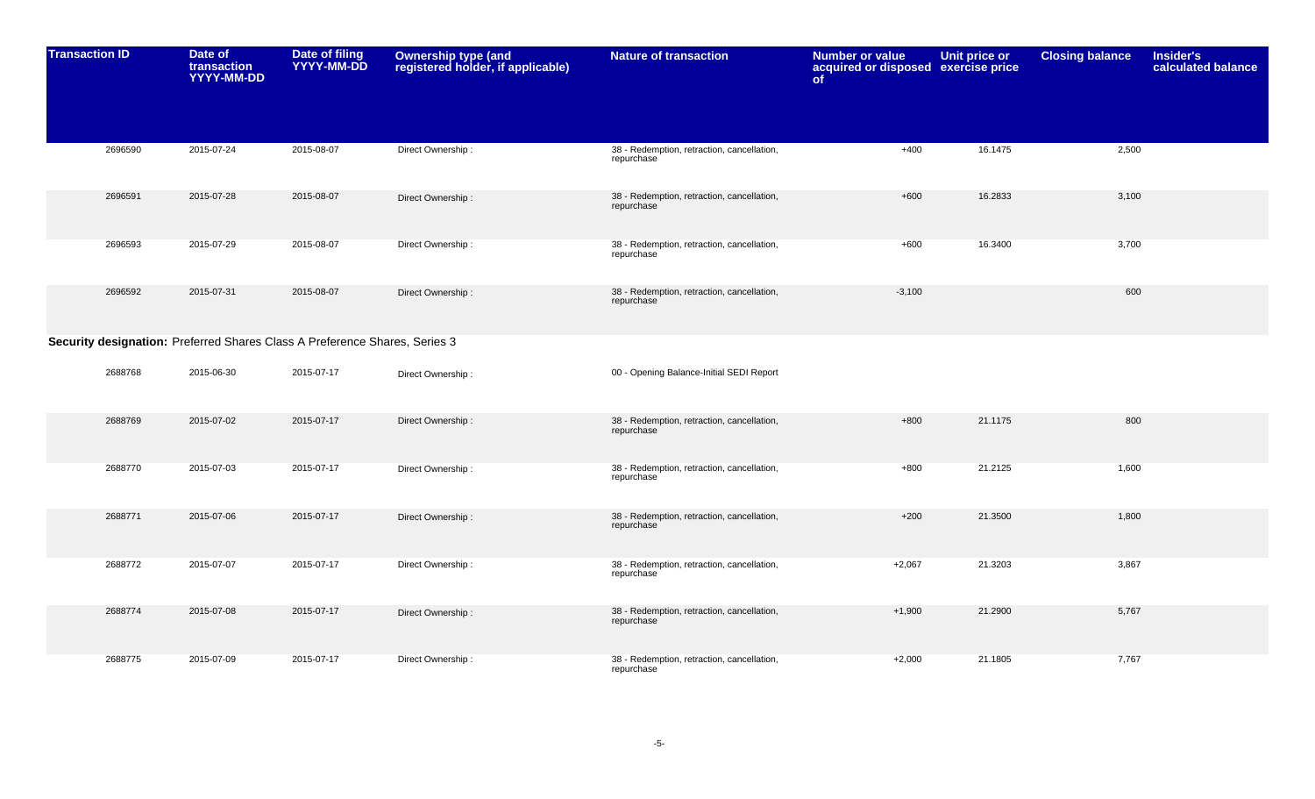| <b>Transaction ID</b> |         | Date of<br>transaction<br>YYYY-MM-DD | Date of filing<br>YYYY-MM-DD                                               | Ownership type (and<br>registered holder, if applicable) | <b>Nature of transaction</b>                             | <b>Number or value</b><br>acquired or disposed exercise price<br>of | Unit price or | <b>Closing balance</b> | <b>Insider's</b><br>calculated balance |
|-----------------------|---------|--------------------------------------|----------------------------------------------------------------------------|----------------------------------------------------------|----------------------------------------------------------|---------------------------------------------------------------------|---------------|------------------------|----------------------------------------|
|                       | 2696590 | 2015-07-24                           | 2015-08-07                                                                 | Direct Ownership:                                        | 38 - Redemption, retraction, cancellation,<br>repurchase | $+400$                                                              | 16.1475       | 2,500                  |                                        |
|                       | 2696591 | 2015-07-28                           | 2015-08-07                                                                 | Direct Ownership:                                        | 38 - Redemption, retraction, cancellation,<br>repurchase | $+600$                                                              | 16.2833       | 3,100                  |                                        |
|                       | 2696593 | 2015-07-29                           | 2015-08-07                                                                 | Direct Ownership:                                        | 38 - Redemption, retraction, cancellation,<br>repurchase | $+600$                                                              | 16.3400       | 3,700                  |                                        |
|                       | 2696592 | 2015-07-31                           | 2015-08-07                                                                 | Direct Ownership:                                        | 38 - Redemption, retraction, cancellation,<br>repurchase | $-3,100$                                                            |               | 600                    |                                        |
|                       |         |                                      | Security designation: Preferred Shares Class A Preference Shares, Series 3 |                                                          |                                                          |                                                                     |               |                        |                                        |
|                       | 2688768 | 2015-06-30                           | 2015-07-17                                                                 | Direct Ownership:                                        | 00 - Opening Balance-Initial SEDI Report                 |                                                                     |               |                        |                                        |
|                       | 2688769 | 2015-07-02                           | 2015-07-17                                                                 | Direct Ownership:                                        | 38 - Redemption, retraction, cancellation,<br>repurchase | $+800$                                                              | 21.1175       | 800                    |                                        |
|                       | 2688770 | 2015-07-03                           | 2015-07-17                                                                 | Direct Ownership:                                        | 38 - Redemption, retraction, cancellation,<br>repurchase | $+800$                                                              | 21.2125       | 1,600                  |                                        |
|                       | 2688771 | 2015-07-06                           | 2015-07-17                                                                 | Direct Ownership:                                        | 38 - Redemption, retraction, cancellation,<br>repurchase | $+200$                                                              | 21.3500       | 1,800                  |                                        |
|                       | 2688772 | 2015-07-07                           | 2015-07-17                                                                 | Direct Ownership:                                        | 38 - Redemption, retraction, cancellation,<br>repurchase | $+2,067$                                                            | 21.3203       | 3,867                  |                                        |
|                       | 2688774 | 2015-07-08                           | 2015-07-17                                                                 | Direct Ownership:                                        | 38 - Redemption, retraction, cancellation,<br>repurchase | $+1,900$                                                            | 21.2900       | 5,767                  |                                        |
|                       | 2688775 | 2015-07-09                           | 2015-07-17                                                                 | Direct Ownership:                                        | 38 - Redemption, retraction, cancellation,<br>repurchase | $+2,000$                                                            | 21.1805       | 7,767                  |                                        |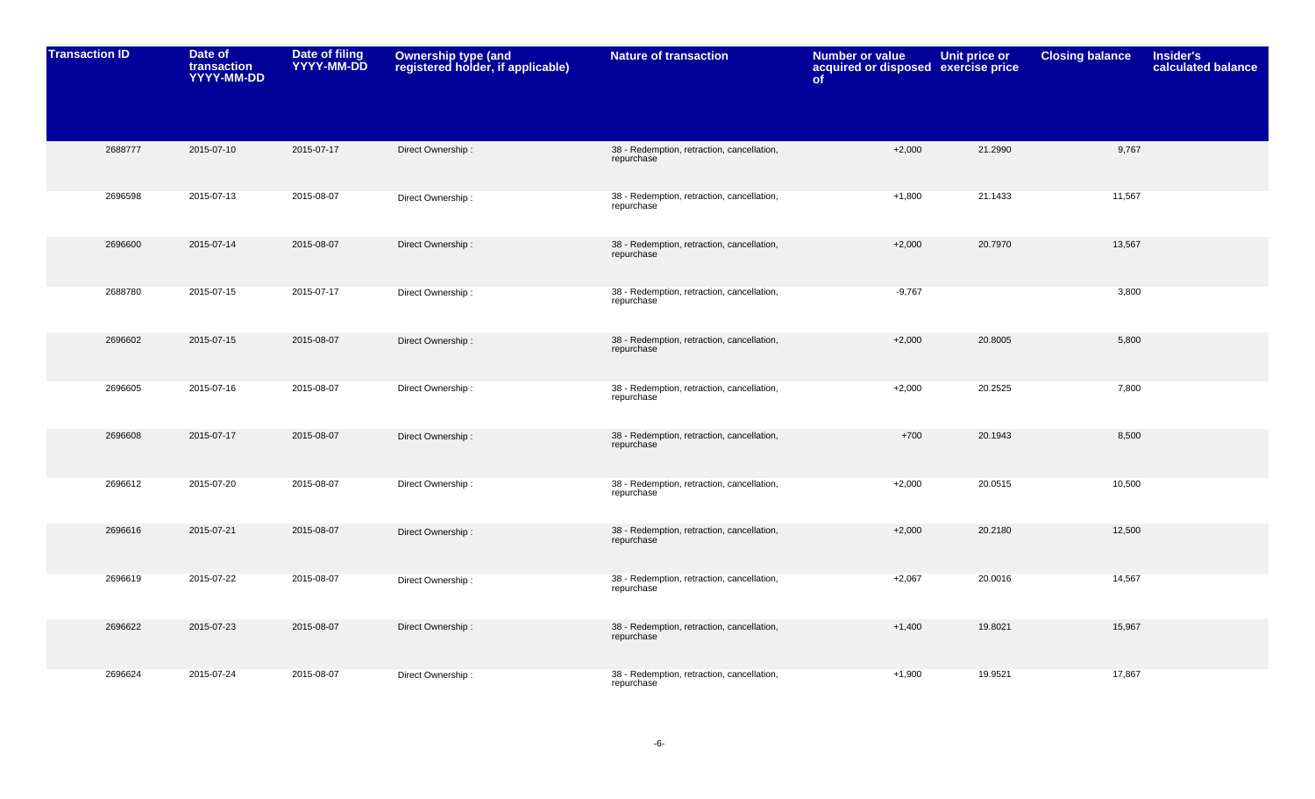| <b>Transaction ID</b> | Date of<br>transaction<br>YYYY-MM-DD | Date of filing<br>YYYY-MM-DD | Ownership type (and<br>registered holder, if applicable) | <b>Nature of transaction</b>                             | <b>Number or value</b><br>acquired or disposed exercise price<br>of | Unit price or | <b>Closing balance</b> | <b>Insider's</b><br>calculated balance |
|-----------------------|--------------------------------------|------------------------------|----------------------------------------------------------|----------------------------------------------------------|---------------------------------------------------------------------|---------------|------------------------|----------------------------------------|
|                       |                                      |                              |                                                          |                                                          |                                                                     |               |                        |                                        |
| 2688777               | 2015-07-10                           | 2015-07-17                   | Direct Ownership:                                        | 38 - Redemption, retraction, cancellation,<br>repurchase | $+2,000$                                                            | 21.2990       | 9,767                  |                                        |
| 2696598               | 2015-07-13                           | 2015-08-07                   | Direct Ownership:                                        | 38 - Redemption, retraction, cancellation,<br>repurchase | $+1,800$                                                            | 21.1433       | 11,567                 |                                        |
| 2696600               | 2015-07-14                           | 2015-08-07                   | Direct Ownership:                                        | 38 - Redemption, retraction, cancellation,<br>repurchase | $+2,000$                                                            | 20.7970       | 13,567                 |                                        |
| 2688780               | 2015-07-15                           | 2015-07-17                   | Direct Ownership:                                        | 38 - Redemption, retraction, cancellation,<br>repurchase | $-9,767$                                                            |               | 3,800                  |                                        |
| 2696602               | 2015-07-15                           | 2015-08-07                   | Direct Ownership:                                        | 38 - Redemption, retraction, cancellation,<br>repurchase | $+2,000$                                                            | 20.8005       | 5,800                  |                                        |
| 2696605               | 2015-07-16                           | 2015-08-07                   | Direct Ownership:                                        | 38 - Redemption, retraction, cancellation,<br>repurchase | $+2,000$                                                            | 20.2525       | 7,800                  |                                        |
| 2696608               | 2015-07-17                           | 2015-08-07                   | Direct Ownership:                                        | 38 - Redemption, retraction, cancellation,<br>repurchase | $+700$                                                              | 20.1943       | 8,500                  |                                        |
| 2696612               | 2015-07-20                           | 2015-08-07                   | Direct Ownership:                                        | 38 - Redemption, retraction, cancellation,<br>repurchase | $+2,000$                                                            | 20.0515       | 10,500                 |                                        |
| 2696616               | 2015-07-21                           | 2015-08-07                   | Direct Ownership:                                        | 38 - Redemption, retraction, cancellation,<br>repurchase | $+2,000$                                                            | 20.2180       | 12,500                 |                                        |
| 2696619               | 2015-07-22                           | 2015-08-07                   | Direct Ownership:                                        | 38 - Redemption, retraction, cancellation,<br>repurchase | $+2,067$                                                            | 20.0016       | 14,567                 |                                        |
| 2696622               | 2015-07-23                           | 2015-08-07                   | Direct Ownership:                                        | 38 - Redemption, retraction, cancellation,<br>repurchase | $+1,400$                                                            | 19.8021       | 15,967                 |                                        |
| 2696624               | 2015-07-24                           | 2015-08-07                   | Direct Ownership:                                        | 38 - Redemption, retraction, cancellation,<br>repurchase | $+1,900$                                                            | 19.9521       | 17,867                 |                                        |